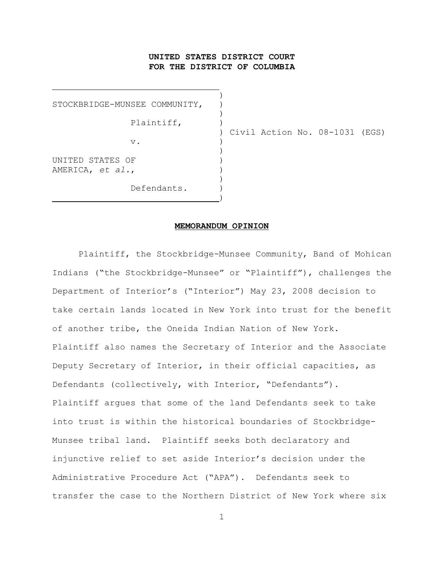# **UNITED STATES DISTRICT COURT FOR THE DISTRICT OF COLUMBIA**

 $)$ STOCKBRIDGE-MUNSEE COMMUNITY,  $\rightarrow$ Plaintiff, )  $\nabla$ .  $)$ UNITED STATES OF ) AMERICA, *et al.*, )  $\rightarrow$ Defendants.

 $\overline{\phantom{a}}$ 

) Civil Action No. 08-1031 (EGS)

#### **MEMORANDUM OPINION**

Plaintiff, the Stockbridge-Munsee Community, Band of Mohican Indians ("the Stockbridge-Munsee" or "Plaintiff"), challenges the Department of Interior's ("Interior") May 23, 2008 decision to take certain lands located in New York into trust for the benefit of another tribe, the Oneida Indian Nation of New York. Plaintiff also names the Secretary of Interior and the Associate Deputy Secretary of Interior, in their official capacities, as Defendants (collectively, with Interior, "Defendants"). Plaintiff argues that some of the land Defendants seek to take into trust is within the historical boundaries of Stockbridge-Munsee tribal land. Plaintiff seeks both declaratory and injunctive relief to set aside Interior's decision under the Administrative Procedure Act ("APA"). Defendants seek to transfer the case to the Northern District of New York where six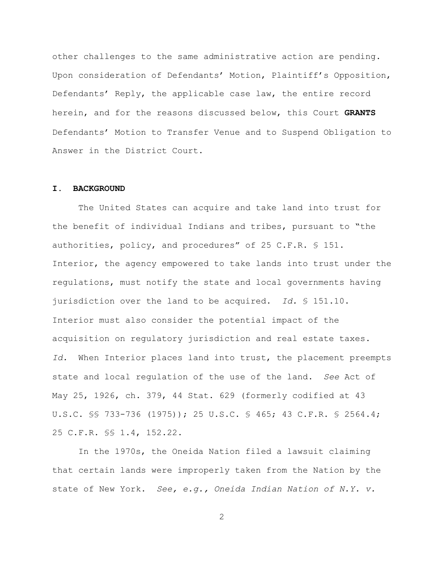other challenges to the same administrative action are pending. Upon consideration of Defendants' Motion, Plaintiff's Opposition, Defendants' Reply, the applicable case law, the entire record herein, and for the reasons discussed below, this Court **GRANTS** Defendants' Motion to Transfer Venue and to Suspend Obligation to Answer in the District Court.

#### **I. BACKGROUND**

The United States can acquire and take land into trust for the benefit of individual Indians and tribes, pursuant to "the authorities, policy, and procedures" of 25 C.F.R. § 151. Interior, the agency empowered to take lands into trust under the regulations, must notify the state and local governments having jurisdiction over the land to be acquired. *Id.* § 151.10. Interior must also consider the potential impact of the acquisition on regulatory jurisdiction and real estate taxes. *Id.* When Interior places land into trust, the placement preempts state and local regulation of the use of the land. *See* Act of May 25, 1926, ch. 379, 44 Stat. 629 (formerly codified at 43 U.S.C. §§ 733-736 (1975)); 25 U.S.C. § 465; 43 C.F.R. § 2564.4; 25 C.F.R. §§ 1.4, 152.22.

In the 1970s, the Oneida Nation filed a lawsuit claiming that certain lands were improperly taken from the Nation by the state of New York. *See, e.g., Oneida Indian Nation of N.Y. v.*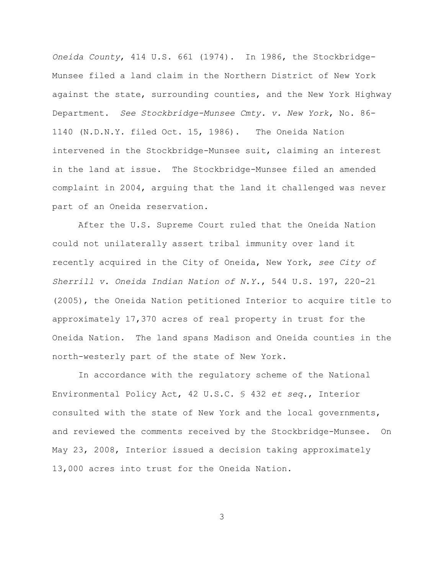*Oneida County*, 414 U.S. 661 (1974). In 1986, the Stockbridge-Munsee filed a land claim in the Northern District of New York against the state, surrounding counties, and the New York Highway Department. *See Stockbridge-Munsee Cmty. v. New York*, No. 86- 1140 (N.D.N.Y. filed Oct. 15, 1986). The Oneida Nation intervened in the Stockbridge-Munsee suit, claiming an interest in the land at issue. The Stockbridge-Munsee filed an amended complaint in 2004, arguing that the land it challenged was never part of an Oneida reservation.

After the U.S. Supreme Court ruled that the Oneida Nation could not unilaterally assert tribal immunity over land it recently acquired in the City of Oneida, New York, *see City of Sherrill v. Oneida Indian Nation of N.Y.*, 544 U.S. 197, 220-21 (2005), the Oneida Nation petitioned Interior to acquire title to approximately 17,370 acres of real property in trust for the Oneida Nation. The land spans Madison and Oneida counties in the north-westerly part of the state of New York.

In accordance with the regulatory scheme of the National Environmental Policy Act, 42 U.S.C. § 432 *et seq.*, Interior consulted with the state of New York and the local governments, and reviewed the comments received by the Stockbridge-Munsee. On May 23, 2008, Interior issued a decision taking approximately 13,000 acres into trust for the Oneida Nation.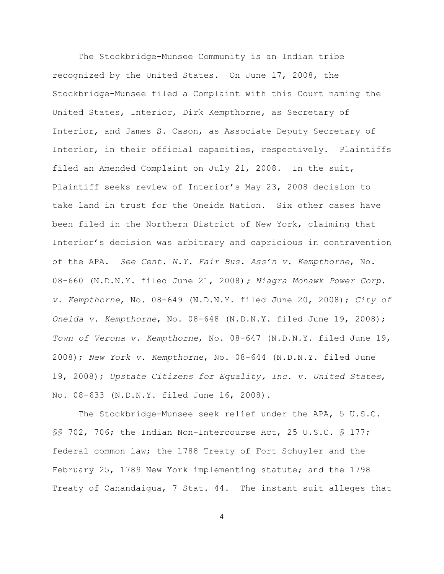The Stockbridge-Munsee Community is an Indian tribe recognized by the United States. On June 17, 2008, the Stockbridge-Munsee filed a Complaint with this Court naming the United States, Interior, Dirk Kempthorne, as Secretary of Interior, and James S. Cason, as Associate Deputy Secretary of Interior, in their official capacities, respectively. Plaintiffs filed an Amended Complaint on July 21, 2008. In the suit, Plaintiff seeks review of Interior's May 23, 2008 decision to take land in trust for the Oneida Nation. Six other cases have been filed in the Northern District of New York, claiming that Interior's decision was arbitrary and capricious in contravention of the APA. *See Cent. N.Y. Fair Bus. Ass'n v. Kempthorne*, No. 08-660 (N.D.N.Y. filed June 21, 2008)*; Niagra Mohawk Power Corp. v. Kempthorne*, No. 08-649 (N.D.N.Y. filed June 20, 2008); *City of Oneida v. Kempthorne*, No. 08-648 (N.D.N.Y. filed June 19, 2008); *Town of Verona v. Kempthorne*, No. 08-647 (N.D.N.Y. filed June 19, 2008); *New York v. Kempthorne*, No. 08-644 (N.D.N.Y. filed June 19, 2008); *Upstate Citizens for Equality, Inc. v. United States*, No. 08-633 (N.D.N.Y. filed June 16, 2008).

The Stockbridge-Munsee seek relief under the APA, 5 U.S.C. §§ 702, 706; the Indian Non-Intercourse Act, 25 U.S.C. § 177; federal common law; the 1788 Treaty of Fort Schuyler and the February 25, 1789 New York implementing statute; and the 1798 Treaty of Canandaigua, 7 Stat. 44. The instant suit alleges that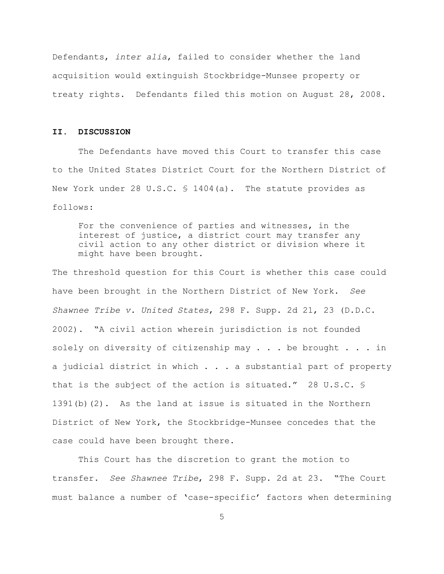Defendants, *inter alia*, failed to consider whether the land acquisition would extinguish Stockbridge-Munsee property or treaty rights. Defendants filed this motion on August 28, 2008.

# **II. DISCUSSION**

The Defendants have moved this Court to transfer this case to the United States District Court for the Northern District of New York under 28 U.S.C. § 1404(a). The statute provides as follows:

For the convenience of parties and witnesses, in the interest of justice, a district court may transfer any civil action to any other district or division where it might have been brought.

The threshold question for this Court is whether this case could have been brought in the Northern District of New York. *See Shawnee Tribe v. United States*, 298 F. Supp. 2d 21, 23 (D.D.C. 2002). "A civil action wherein jurisdiction is not founded solely on diversity of citizenship may  $\ldots$  be brought  $\ldots$  in a judicial district in which . . . a substantial part of property that is the subject of the action is situated." 28 U.S.C. § 1391(b)(2). As the land at issue is situated in the Northern District of New York, the Stockbridge-Munsee concedes that the case could have been brought there.

 This Court has the discretion to grant the motion to transfer. *See Shawnee Tribe*, 298 F. Supp. 2d at 23. "The Court must balance a number of 'case-specific' factors when determining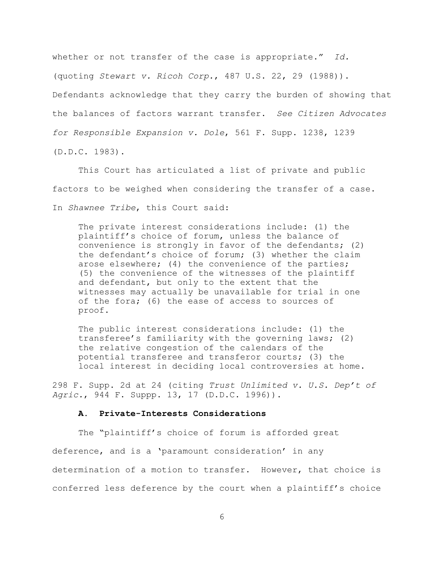whether or not transfer of the case is appropriate." *Id.* (quoting *Stewart v. Ricoh Corp.*, 487 U.S. 22, 29 (1988)). Defendants acknowledge that they carry the burden of showing that the balances of factors warrant transfer. *See Citizen Advocates for Responsible Expansion v. Dole*, 561 F. Supp. 1238, 1239 (D.D.C. 1983).

This Court has articulated a list of private and public factors to be weighed when considering the transfer of a case. In *Shawnee Tribe*, this Court said:

The private interest considerations include: (1) the plaintiff's choice of forum, unless the balance of convenience is strongly in favor of the defendants; (2) the defendant's choice of forum; (3) whether the claim arose elsewhere; (4) the convenience of the parties; (5) the convenience of the witnesses of the plaintiff and defendant, but only to the extent that the witnesses may actually be unavailable for trial in one of the fora; (6) the ease of access to sources of proof.

The public interest considerations include: (1) the transferee's familiarity with the governing laws; (2) the relative congestion of the calendars of the potential transferee and transferor courts; (3) the local interest in deciding local controversies at home.

298 F. Supp. 2d at 24 (citing *Trust Unlimited v. U.S. Dep't of Agric.*, 944 F. Suppp. 13, 17 (D.D.C. 1996)).

#### **A. Private-Interests Considerations**

The "plaintiff's choice of forum is afforded great deference, and is a 'paramount consideration' in any determination of a motion to transfer. However, that choice is conferred less deference by the court when a plaintiff's choice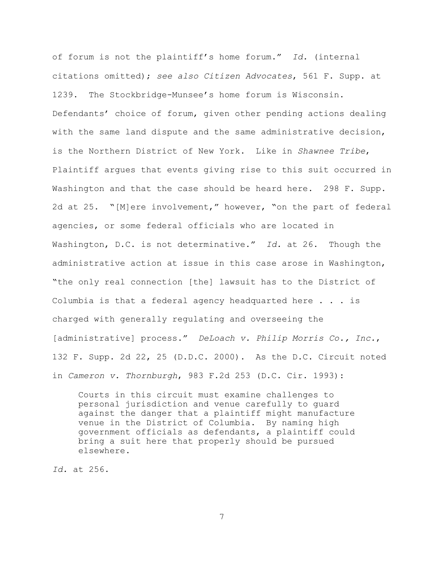of forum is not the plaintiff's home forum." *Id.* (internal citations omitted); *see also Citizen Advocates*, 561 F. Supp. at 1239. The Stockbridge-Munsee's home forum is Wisconsin. Defendants' choice of forum, given other pending actions dealing with the same land dispute and the same administrative decision, is the Northern District of New York. Like in *Shawnee Tribe*, Plaintiff argues that events giving rise to this suit occurred in Washington and that the case should be heard here. 298 F. Supp. 2d at 25. "[M]ere involvement," however, "on the part of federal agencies, or some federal officials who are located in Washington, D.C. is not determinative." *Id.* at 26. Though the administrative action at issue in this case arose in Washington, "the only real connection [the] lawsuit has to the District of Columbia is that a federal agency headquarted here . . . is charged with generally regulating and overseeing the [administrative] process." *DeLoach v. Philip Morris Co., Inc.*, 132 F. Supp. 2d 22, 25 (D.D.C. 2000). As the D.C. Circuit noted in *Cameron v. Thornburgh*, 983 F.2d 253 (D.C. Cir. 1993):

Courts in this circuit must examine challenges to personal jurisdiction and venue carefully to guard against the danger that a plaintiff might manufacture venue in the District of Columbia. By naming high government officials as defendants, a plaintiff could bring a suit here that properly should be pursued elsewhere.

*Id.* at 256.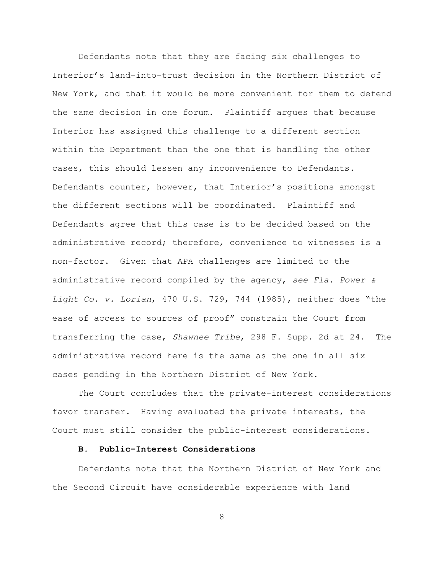Defendants note that they are facing six challenges to Interior's land-into-trust decision in the Northern District of New York, and that it would be more convenient for them to defend the same decision in one forum. Plaintiff argues that because Interior has assigned this challenge to a different section within the Department than the one that is handling the other cases, this should lessen any inconvenience to Defendants. Defendants counter, however, that Interior's positions amongst the different sections will be coordinated. Plaintiff and Defendants agree that this case is to be decided based on the administrative record; therefore, convenience to witnesses is a non-factor. Given that APA challenges are limited to the administrative record compiled by the agency, *see Fla. Power & Light Co. v. Lorian*, 470 U.S. 729, 744 (1985), neither does "the ease of access to sources of proof" constrain the Court from transferring the case, *Shawnee Tribe*, 298 F. Supp. 2d at 24. The administrative record here is the same as the one in all six cases pending in the Northern District of New York.

The Court concludes that the private-interest considerations favor transfer. Having evaluated the private interests, the Court must still consider the public-interest considerations.

# **B. Public-Interest Considerations**

Defendants note that the Northern District of New York and the Second Circuit have considerable experience with land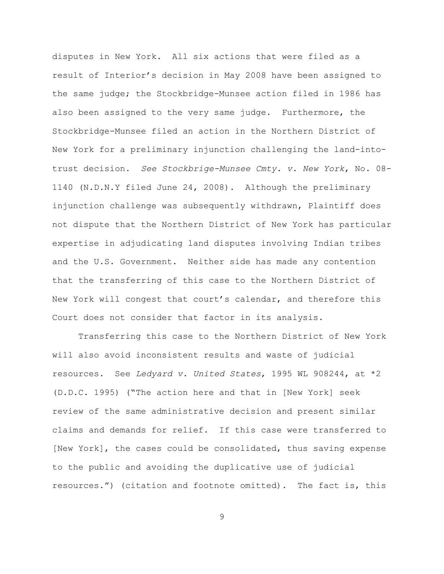disputes in New York. All six actions that were filed as a result of Interior's decision in May 2008 have been assigned to the same judge; the Stockbridge-Munsee action filed in 1986 has also been assigned to the very same judge. Furthermore, the Stockbridge-Munsee filed an action in the Northern District of New York for a preliminary injunction challenging the land-intotrust decision. *See Stockbrige-Munsee Cmty. v. New York*, No. 08- 1140 (N.D.N.Y filed June 24, 2008). Although the preliminary injunction challenge was subsequently withdrawn, Plaintiff does not dispute that the Northern District of New York has particular expertise in adjudicating land disputes involving Indian tribes and the U.S. Government. Neither side has made any contention that the transferring of this case to the Northern District of New York will congest that court's calendar, and therefore this Court does not consider that factor in its analysis.

Transferring this case to the Northern District of New York will also avoid inconsistent results and waste of judicial resources. See *Ledyard v. United States*, 1995 WL 908244, at \*2 (D.D.C. 1995) ("The action here and that in [New York] seek review of the same administrative decision and present similar claims and demands for relief. If this case were transferred to [New York], the cases could be consolidated, thus saving expense to the public and avoiding the duplicative use of judicial resources.") (citation and footnote omitted). The fact is, this